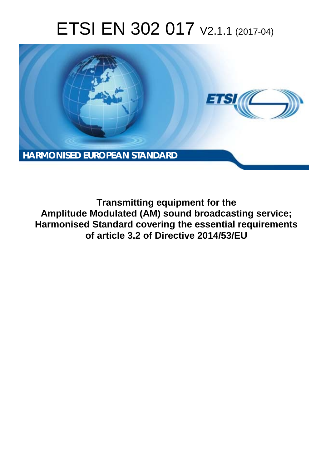# ETSI EN 302 017 V2.1.1 (2017-04)



**Transmitting equipment for the Amplitude Modulated (AM) sound broadcasting service; Harmonised Standard covering the essential requirements of article 3.2 of Directive 2014/53/EU**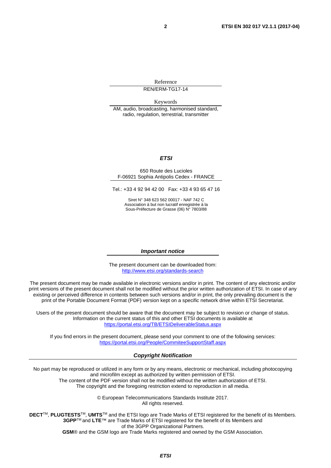Reference

REN/ERM-TG17-14

Keywords

AM, audio, broadcasting, harmonised standard, radio, regulation, terrestrial, transmitter

#### *ETSI*

#### 650 Route des Lucioles F-06921 Sophia Antipolis Cedex - FRANCE

Tel.: +33 4 92 94 42 00 Fax: +33 4 93 65 47 16

Siret N° 348 623 562 00017 - NAF 742 C Association à but non lucratif enregistrée à la Sous-Préfecture de Grasse (06) N° 7803/88

#### *Important notice*

The present document can be downloaded from: <http://www.etsi.org/standards-search>

The present document may be made available in electronic versions and/or in print. The content of any electronic and/or print versions of the present document shall not be modified without the prior written authorization of ETSI. In case of any existing or perceived difference in contents between such versions and/or in print, the only prevailing document is the print of the Portable Document Format (PDF) version kept on a specific network drive within ETSI Secretariat.

Users of the present document should be aware that the document may be subject to revision or change of status. Information on the current status of this and other ETSI documents is available at <https://portal.etsi.org/TB/ETSIDeliverableStatus.aspx>

If you find errors in the present document, please send your comment to one of the following services: <https://portal.etsi.org/People/CommiteeSupportStaff.aspx>

#### *Copyright Notification*

No part may be reproduced or utilized in any form or by any means, electronic or mechanical, including photocopying and microfilm except as authorized by written permission of ETSI.

The content of the PDF version shall not be modified without the written authorization of ETSI. The copyright and the foregoing restriction extend to reproduction in all media.

> © European Telecommunications Standards Institute 2017. All rights reserved.

**DECT**TM, **PLUGTESTS**TM, **UMTS**TM and the ETSI logo are Trade Marks of ETSI registered for the benefit of its Members. **3GPP**TM and **LTE**™ are Trade Marks of ETSI registered for the benefit of its Members and of the 3GPP Organizational Partners.

**GSM**® and the GSM logo are Trade Marks registered and owned by the GSM Association.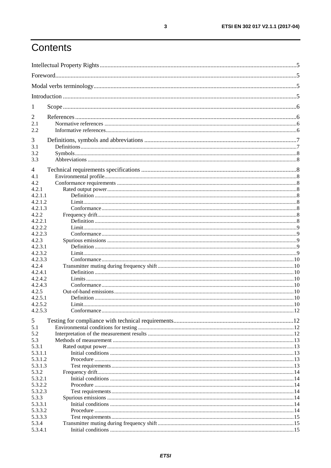# Contents

| 1                |  |
|------------------|--|
| 2                |  |
| 2.1              |  |
| 2.2              |  |
| 3                |  |
| 3.1              |  |
| 3.2              |  |
| 3.3              |  |
| 4                |  |
| 4.1              |  |
| 4.2              |  |
| 4.2.1            |  |
| 4.2.1.1          |  |
| 4.2.1.2          |  |
| 4.2.1.3          |  |
| 4.2.2            |  |
| 4.2.2.1          |  |
| 4.2.2.2          |  |
| 4.2.2.3          |  |
| 4.2.3            |  |
| 4.2.3.1          |  |
| 4.2.3.2          |  |
| 4.2.3.3          |  |
| 4.2.4            |  |
| 4.2.4.1          |  |
| 4.2.4.2          |  |
| 4.2.4.3          |  |
| 4.2.5            |  |
| 4.2.5.1          |  |
| 4.2.5.2          |  |
| 4.2.5.3          |  |
| 5                |  |
| 5.1              |  |
| 5.2              |  |
| 5.3              |  |
| 5.3.1            |  |
| 5.3.1.1          |  |
| 5.3.1.2          |  |
| 5.3.1.3          |  |
| 5.3.2            |  |
| 5.3.2.1          |  |
| 5.3.2.2          |  |
| 5.3.2.3          |  |
| 5.3.3            |  |
| 5.3.3.1          |  |
| 5.3.3.2          |  |
| 5.3.3.3<br>5.3.4 |  |
| 5.3.4.1          |  |
|                  |  |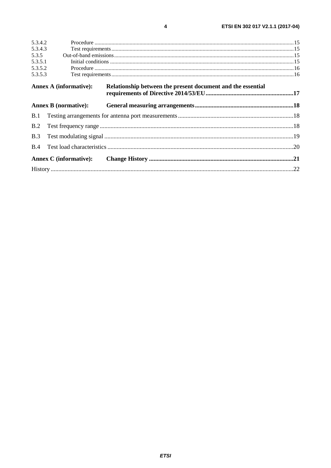| 5.3.4.2    |                               |                                                             |  |
|------------|-------------------------------|-------------------------------------------------------------|--|
| 5.3.4.3    |                               |                                                             |  |
| 5.3.5      |                               |                                                             |  |
| 5.3.5.1    |                               |                                                             |  |
| 5.3.5.2    |                               |                                                             |  |
| 5.3.5.3    |                               |                                                             |  |
|            | <b>Annex A (informative):</b> | Relationship between the present document and the essential |  |
|            | <b>Annex B</b> (normative):   |                                                             |  |
| <b>B.1</b> |                               |                                                             |  |
| B.2        |                               |                                                             |  |
| B.3        |                               |                                                             |  |
| <b>B.4</b> |                               |                                                             |  |
|            | <b>Annex C</b> (informative): |                                                             |  |
|            |                               |                                                             |  |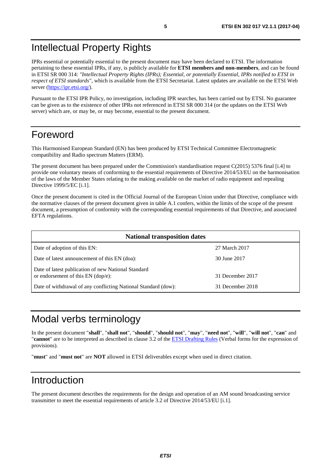# <span id="page-4-0"></span>Intellectual Property Rights

IPRs essential or potentially essential to the present document may have been declared to ETSI. The information pertaining to these essential IPRs, if any, is publicly available for **ETSI members and non-members**, and can be found in ETSI SR 000 314: *"Intellectual Property Rights (IPRs); Essential, or potentially Essential, IPRs notified to ETSI in respect of ETSI standards"*, which is available from the ETSI Secretariat. Latest updates are available on the ETSI Web server (<https://ipr.etsi.org/>).

Pursuant to the ETSI IPR Policy, no investigation, including IPR searches, has been carried out by ETSI. No guarantee can be given as to the existence of other IPRs not referenced in ETSI SR 000 314 (or the updates on the ETSI Web server) which are, or may be, or may become, essential to the present document.

# Foreword

This Harmonised European Standard (EN) has been produced by ETSI Technical Committee Electromagnetic compatibility and Radio spectrum Matters (ERM).

The present document has been prepared under the Commission's standardisation request C(2015) 5376 final [\[i.4\]](#page-5-0) to provide one voluntary means of conforming to the essential requirements of Directive 2014/53/EU on the harmonisation of the laws of the Member States relating to the making available on the market of radio equipment and repealing Directive 1999/5/EC [\[i.1](#page-5-0)].

Once the present document is cited in the Official Journal of the European Union under that Directive, compliance with the normative clauses of the present document given in table A.1 confers, within the limits of the scope of the present document, a presumption of conformity with the corresponding essential requirements of that Directive, and associated EFTA regulations.

| <b>National transposition dates</b>                                                         |                  |  |
|---------------------------------------------------------------------------------------------|------------------|--|
| Date of adoption of this EN:                                                                | 27 March 2017    |  |
| Date of latest announcement of this EN (doa):                                               | 30 June 2017     |  |
| Date of latest publication of new National Standard<br>or endorsement of this $EN$ (dop/e): | 31 December 2017 |  |
| Date of withdrawal of any conflicting National Standard (dow):                              | 31 December 2018 |  |

# Modal verbs terminology

In the present document "**shall**", "**shall not**", "**should**", "**should not**", "**may**", "**need not**", "**will**", "**will not**", "**can**" and "**cannot**" are to be interpreted as described in clause 3.2 of the [ETSI Drafting Rules](https://portal.etsi.org/Services/editHelp!/Howtostart/ETSIDraftingRules.aspx) (Verbal forms for the expression of provisions).

"**must**" and "**must not**" are **NOT** allowed in ETSI deliverables except when used in direct citation.

# Introduction

The present document describes the requirements for the design and operation of an AM sound broadcasting service transmitter to meet the essential requirements of article 3.2 of Directive 2014/53/EU [[i.1](#page-5-0)].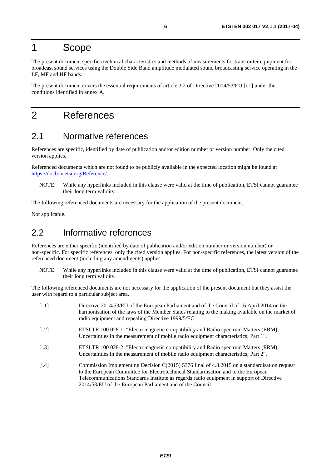## <span id="page-5-0"></span>1 Scope

The present document specifies technical characteristics and methods of measurements for transmitter equipment for broadcast sound services using the Double Side Band amplitude modulated sound broadcasting service operating in the LF, MF and HF bands.

The present document covers the essential requirements of article 3.2 of Directive 2014/53/EU [i.1] under the conditions identified in annex A.

# 2 References

### 2.1 Normative references

References are specific, identified by date of publication and/or edition number or version number. Only the cited version applies.

Referenced documents which are not found to be publicly available in the expected location might be found at <https://docbox.etsi.org/Reference/>.

NOTE: While any hyperlinks included in this clause were valid at the time of publication, ETSI cannot guarantee their long term validity.

The following referenced documents are necessary for the application of the present document.

Not applicable.

### 2.2 Informative references

References are either specific (identified by date of publication and/or edition number or version number) or non-specific. For specific references, only the cited version applies. For non-specific references, the latest version of the referenced document (including any amendments) applies.

NOTE: While any hyperlinks included in this clause were valid at the time of publication, ETSI cannot guarantee their long term validity.

The following referenced documents are not necessary for the application of the present document but they assist the user with regard to a particular subject area.

- [i.1] Directive 2014/53/EU of the European Parliament and of the Council of 16 April 2014 on the harmonisation of the laws of the Member States relating to the making available on the market of radio equipment and repealing Directive 1999/5/EC. [i.2] ETSI TR 100 028-1: "Electromagnetic compatibility and Radio spectrum Matters (ERM); Uncertainties in the measurement of mobile radio equipment characteristics; Part 1". [i.3] ETSI TR 100 028-2: "Electromagnetic compatibility and Radio spectrum Matters (ERM); Uncertainties in the measurement of mobile radio equipment characteristics; Part 2".
- [i.4] Commission Implementing Decision C(2015) 5376 final of 4.8.2015 on a standardisation request to the European Committee for Electrotechnical Standardisation and to the European Telecommunications Standards Institute as regards radio equipment in support of Directive 2014/53/EU of the European Parliament and of the Council.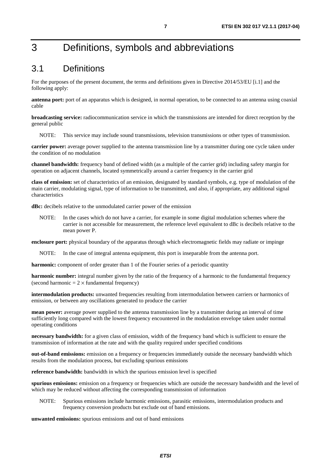# <span id="page-6-0"></span>3 Definitions, symbols and abbreviations

### 3.1 Definitions

For the purposes of the present document, the terms and definitions given in Directive 2014/53/EU [\[i.1](#page-5-0)] and the following apply:

**antenna port:** port of an apparatus which is designed, in normal operation, to be connected to an antenna using coaxial cable

**broadcasting service:** radiocommunication service in which the transmissions are intended for direct reception by the general public

NOTE: This service may include sound transmissions, television transmissions or other types of transmission.

**carrier power:** average power supplied to the antenna transmission line by a transmitter during one cycle taken under the condition of no modulation

**channel bandwidth:** frequency band of defined width (as a multiple of the carrier grid) including safety margin for operation on adjacent channels, located symmetrically around a carrier frequency in the carrier grid

**class of emission:** set of characteristics of an emission, designated by standard symbols, e.g. type of modulation of the main carrier, modulating signal, type of information to be transmitted, and also, if appropriate, any additional signal characteristics

**dBc:** decibels relative to the unmodulated carrier power of the emission

NOTE: In the cases which do not have a carrier, for example in some digital modulation schemes where the carrier is not accessible for measurement, the reference level equivalent to dBc is decibels relative to the mean power P.

**enclosure port:** physical boundary of the apparatus through which electromagnetic fields may radiate or impinge

NOTE: In the case of integral antenna equipment, this port is inseparable from the antenna port.

**harmonic:** component of order greater than 1 of the Fourier series of a periodic quantity

**harmonic number:** integral number given by the ratio of the frequency of a harmonic to the fundamental frequency (second harmonic  $= 2 \times$  fundamental frequency)

**intermodulation products:** unwanted frequencies resulting from intermodulation between carriers or harmonics of emission, or between any oscillations generated to produce the carrier

**mean power:** average power supplied to the antenna transmission line by a transmitter during an interval of time sufficiently long compared with the lowest frequency encountered in the modulation envelope taken under normal operating conditions

**necessary bandwidth:** for a given class of emission, width of the frequency band which is sufficient to ensure the transmission of information at the rate and with the quality required under specified conditions

**out-of-band emissions:** emission on a frequency or frequencies immediately outside the necessary bandwidth which results from the modulation process, but excluding spurious emissions

**reference bandwidth:** bandwidth in which the spurious emission level is specified

**spurious emissions:** emission on a frequency or frequencies which are outside the necessary bandwidth and the level of which may be reduced without affecting the corresponding transmission of information

NOTE: Spurious emissions include harmonic emissions, parasitic emissions, intermodulation products and frequency conversion products but exclude out of band emissions.

**unwanted emissions:** spurious emissions and out of band emissions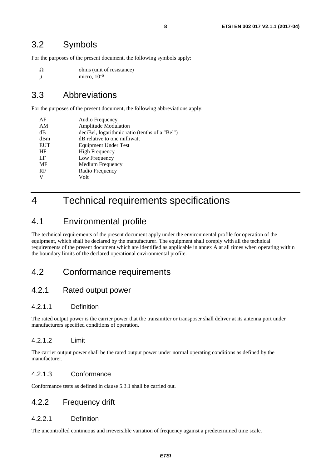### <span id="page-7-0"></span>3.2 Symbols

For the purposes of the present document, the following symbols apply:

 $\Omega$  ohms (unit of resistance)  $μ$  micro,  $10<sup>-6</sup>$ 

### 3.3 Abbreviations

For the purposes of the present document, the following abbreviations apply:

| AF         | Audio Frequency                                |
|------------|------------------------------------------------|
| AM         | <b>Amplitude Modulation</b>                    |
| dB         | deciBel, logarithmic ratio (tenths of a "Bel") |
| dBm        | dB relative to one milliwatt                   |
| <b>EUT</b> | Equipment Under Test                           |
| HF         | <b>High Frequency</b>                          |
| LF         | Low Frequency                                  |
| MF         | Medium Frequency                               |
| RF         | Radio Frequency                                |
| V          | Volt                                           |
|            |                                                |

# 4 Technical requirements specifications

### 4.1 Environmental profile

The technical requirements of the present document apply under the environmental profile for operation of the equipment, which shall be declared by the manufacturer. The equipment shall comply with all the technical requirements of the present document which are identified as applicable in annex A at all times when operating within the boundary limits of the declared operational environmental profile.

### 4.2 Conformance requirements

### 4.2.1 Rated output power

### 4.2.1.1 Definition

The rated output power is the carrier power that the transmitter or transposer shall deliver at its antenna port under manufacturers specified conditions of operation.

### 4.2.1.2 Limit

The carrier output power shall be the rated output power under normal operating conditions as defined by the manufacturer.

### 4.2.1.3 Conformance

Conformance tests as defined in clause 5.3.1 shall be carried out.

### 4.2.2 Frequency drift

### 4.2.2.1 Definition

The uncontrolled continuous and irreversible variation of frequency against a predetermined time scale.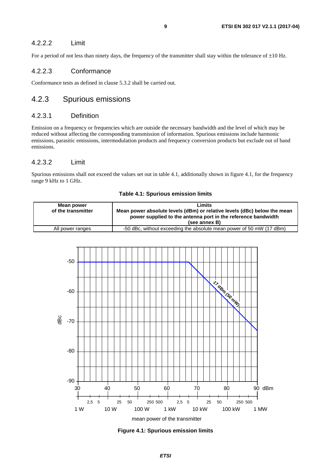### <span id="page-8-0"></span>4.2.2.2 Limit

For a period of not less than ninety days, the frequency of the transmitter shall stay within the tolerance of  $\pm 10$  Hz.

### 4.2.2.3 Conformance

Conformance tests as defined in clause 5.3.2 shall be carried out.

### 4.2.3 Spurious emissions

### 4.2.3.1 Definition

Emission on a frequency or frequencies which are outside the necessary bandwidth and the level of which may be reduced without affecting the corresponding transmission of information. Spurious emissions include harmonic emissions, parasitic emissions, intermodulation products and frequency conversion products but exclude out of band emissions.

#### 4.2.3.2 Limit

Spurious emissions shall not exceed the values set out in table 4.1, additionally shown in figure 4.1, for the frequency range 9 kHz to 1 GHz.



#### **Table 4.1: Spurious emission limits**

**Figure 4.1: Spurious emission limits**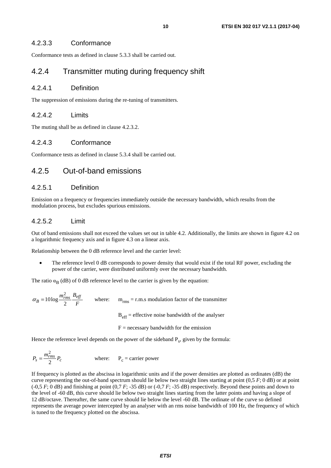### <span id="page-9-0"></span>4.2.3.3 Conformance

Conformance tests as defined in clause 5.3.3 shall be carried out.

### 4.2.4 Transmitter muting during frequency shift

#### 4.2.4.1 Definition

The suppression of emissions during the re-tuning of transmitters.

### 4.2.4.2 Limits

The muting shall be as defined in clause 4.2.3.2.

### 4.2.4.3 Conformance

Conformance tests as defined in clause 5.3.4 shall be carried out.

### 4.2.5 Out-of-band emissions

### 4.2.5.1 Definition

Emission on a frequency or frequencies immediately outside the necessary bandwidth, which results from the modulation process, but excludes spurious emissions.

### 4.2.5.2 Limit

Out of band emissions shall not exceed the values set out in table 4.2. Additionally, the limits are shown in figure 4.2 on a logarithmic frequency axis and in figure 4.3 on a linear axis.

Relationship between the 0 dB reference level and the carrier level:

The reference level 0 dB corresponds to power density that would exist if the total RF power, excluding the power of the carrier, were distributed uniformly over the necessary bandwidth.

The ratio  $\alpha_{\rm B}$  (dB) of 0 dB reference level to the carrier is given by the equation:

*F*  $m^2_{rms}\; B_{eff}$  $B = 10 \log \frac{m_{th}}{2}$ 2  $\alpha_B = 10 \log \frac{m_{rms}}{2} = \frac{eV}{E}$  where:  $m_{rms} = r.m.s$  modulation factor of the transmitter

 $B<sub>eff</sub>$  = effective noise bandwidth of the analyser

 $F =$  necessary bandwidth for the emission

Hence the reference level depends on the power of the sideband  $P_s$ , given by the formula:

$$
P_s = \frac{m_{rms}^2}{2} P_c
$$
 where:  $P_c$  = carrier power

If frequency is plotted as the abscissa in logarithmic units and if the power densities are plotted as ordinates (dB) the curve representing the out-of-band spectrum should lie below two straight lines starting at point (0,5 *F*; 0 dB) or at point  $(-0.5 F; 0 \text{ dB})$  and finishing at point  $(0.7 F; -35 \text{ dB})$  or  $(-0.7 F; -35 \text{ dB})$  respectively. Beyond these points and down to the level of -60 dB, this curve should lie below two straight lines starting from the latter points and having a slope of 12 dB/octave. Thereafter, the same curve should lie below the level -60 dB. The ordinate of the curve so defined represents the average power intercepted by an analyser with an rms noise bandwidth of 100 Hz, the frequency of which is tuned to the frequency plotted on the abscissa.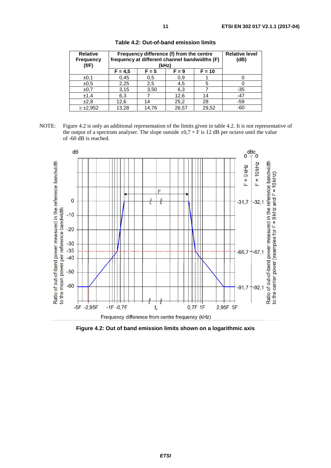| <b>Relative</b><br><b>Frequency</b><br>(f/F) | Frequency difference (f) from the centre<br>frequency at different channel bandwidths (F)<br>(kHz) |         |         | <b>Relative level</b><br>(dB) |       |
|----------------------------------------------|----------------------------------------------------------------------------------------------------|---------|---------|-------------------------------|-------|
|                                              | $F = 4.5$                                                                                          | $F = 5$ | $F = 9$ | $F = 10$                      |       |
| ±0.1                                         | 0,45                                                                                               | 0.5     | 0,9     |                               |       |
| ±0.5                                         | 2,25                                                                                               | 2,5     | 4,5     | 5                             |       |
| ±0.7                                         | 3,15                                                                                               | 3,50    | 6,3     |                               | $-35$ |
| ±1,4                                         | 6,3                                                                                                |         | 12,6    | 14                            | -47   |
| ±2,8                                         | 12,6                                                                                               | 14      | 25,2    | 28                            | -59   |
| $\geq \pm 2,952$                             | 13,28                                                                                              | 14.76   | 26,57   | 29,52                         | $-60$ |

**Table 4.2: Out-of-band emission limits**

NOTE: Figure 4.2 is only an additional representation of the limits given in table 4.2. It is not representative of the output of a spectrum analyser. The slope outside  $\pm 0.7 \times$  F is 12 dB per octave until the value of -60 dB is reached.



**Figure 4.2: Out of band emission limits shown on a logarithmic axis**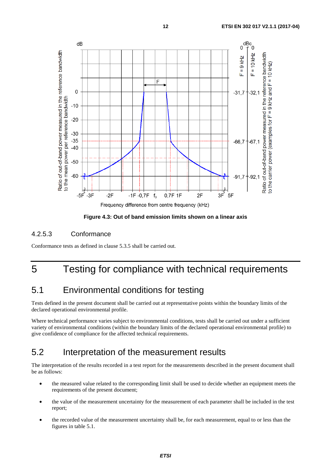<span id="page-11-0"></span>

**Figure 4.3: Out of band emission limits shown on a linear axis** 

### 4.2.5.3 Conformance

Conformance tests as defined in clause 5.3.5 shall be carried out.

# 5 Testing for compliance with technical requirements

### 5.1 Environmental conditions for testing

Tests defined in the present document shall be carried out at representative points within the boundary limits of the declared operational environmental profile.

Where technical performance varies subject to environmental conditions, tests shall be carried out under a sufficient variety of environmental conditions (within the boundary limits of the declared operational environmental profile) to give confidence of compliance for the affected technical requirements.

### 5.2 Interpretation of the measurement results

The interpretation of the results recorded in a test report for the measurements described in the present document shall be as follows:

- the measured value related to the corresponding limit shall be used to decide whether an equipment meets the requirements of the present document;
- the value of the measurement uncertainty for the measurement of each parameter shall be included in the test report;
- the recorded value of the measurement uncertainty shall be, for each measurement, equal to or less than the figures in table 5.1.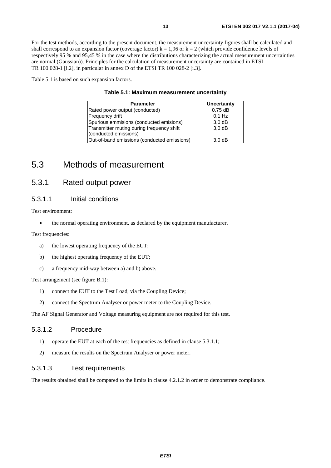<span id="page-12-0"></span>For the test methods, according to the present document, the measurement uncertainty figures shall be calculated and shall correspond to an expansion factor (coverage factor)  $k = 1.96$  or  $k = 2$  (which provide confidence levels of respectively 95 % and 95,45 % in the case where the distributions characterizing the actual measurement uncertainties are normal (Gaussian)). Principles for the calculation of measurement uncertainty are contained in ETSI TR 100 028-1 [\[i.2](#page-5-0)], in particular in annex D of the ETSI TR 100 028-2 [[i.3\]](#page-5-0).

Table 5.1 is based on such expansion factors.

| <b>Parameter</b>                            | Uncertainty |
|---------------------------------------------|-------------|
| Rated power output (conducted)              | $0.75$ dB   |
| Frequency drift                             | $0.1$ Hz    |
| Spurious emmisions (conducted emisions)     | $3,0$ dB    |
| Transmitter muting during frequency shift   | $3,0$ dB    |
| (conducted emissions)                       |             |
| Out-of-band emissions (conducted emissions) | 3.0 dB      |

### 5.3 Methods of measurement

### 5.3.1 Rated output power

### 5.3.1.1 Initial conditions

Test environment:

• the normal operating environment, as declared by the equipment manufacturer.

Test frequencies:

- a) the lowest operating frequency of the EUT;
- b) the highest operating frequency of the EUT;
- c) a frequency mid-way between a) and b) above.

Test arrangement (see figure B.1):

- 1) connect the EUT to the Test Load, via the Coupling Device;
- 2) connect the Spectrum Analyser or power meter to the Coupling Device.

The AF Signal Generator and Voltage measuring equipment are not required for this test.

#### 5.3.1.2 Procedure

- 1) operate the EUT at each of the test frequencies as defined in clause 5.3.1.1;
- 2) measure the results on the Spectrum Analyser or power meter.

### 5.3.1.3 Test requirements

The results obtained shall be compared to the limits in clause 4.2.1.2 in order to demonstrate compliance.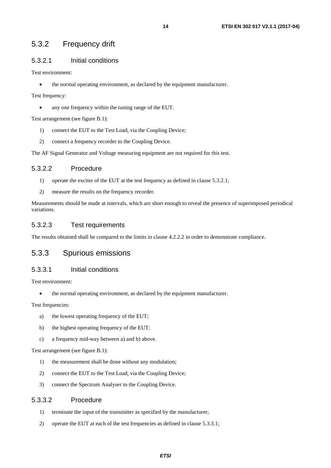### <span id="page-13-0"></span>5.3.2 Frequency drift

### 5.3.2.1 Initial conditions

Test environment:

the normal operating environment, as declared by the equipment manufacturer.

Test frequency:

• any one frequency within the tuning range of the EUT.

Test arrangement (see figure B.1):

- 1) connect the EUT to the Test Load, via the Coupling Device;
- 2) connect a frequency recorder to the Coupling Device.

The AF Signal Generator and Voltage measuring equipment are not required for this test.

### 5.3.2.2 Procedure

- 1) operate the exciter of the EUT at the test frequency as defined in clause 5.3.2.1;
- 2) measure the results on the frequency recorder.

Measurements should be made at intervals, which are short enough to reveal the presence of superimposed periodical variations.

### 5.3.2.3 Test requirements

The results obtained shall be compared to the limits in clause 4.2.2.2 in order to demonstrate compliance.

### 5.3.3 Spurious emissions

#### 5.3.3.1 Initial conditions

Test environment:

the normal operating environment, as declared by the equipment manufacturer.

Test frequencies:

- a) the lowest operating frequency of the EUT;
- b) the highest operating frequency of the EUT;
- c) a frequency mid-way between a) and b) above.

Test arrangement (see figure B.1):

- 1) the measurement shall be done without any modulation;
- 2) connect the EUT to the Test Load, via the Coupling Device;
- 3) connect the Spectrum Analyser to the Coupling Device.

### 5.3.3.2 Procedure

- 1) terminate the input of the transmitter as specified by the manufacturer;
- 2) operate the EUT at each of the test frequencies as defined in clause 5.3.3.1;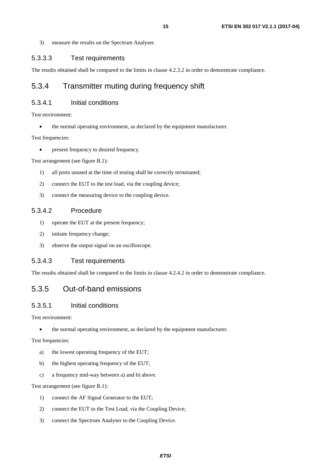<span id="page-14-0"></span>3) measure the results on the Spectrum Analyser.

### 5.3.3.3 Test requirements

The results obtained shall be compared to the limits in clause 4.2.3.2 in order to demonstrate compliance.

### 5.3.4 Transmitter muting during frequency shift

### 5.3.4.1 Initial conditions

Test environment:

the normal operating environment, as declared by the equipment manufacturer.

Test frequencies:

present frequency to desired frequency.

Test arrangement (see figure B.1):

- 1) all ports unused at the time of testing shall be correctly terminated;
- 2) connect the EUT to the test load, via the coupling device;
- 3) connect the measuring device to the coupling device.

### 5.3.4.2 Procedure

- 1) operate the EUT at the present frequency;
- 2) initiate frequency change;
- 3) observe the output signal on an oscilloscope.

#### 5.3.4.3 Test requirements

The results obtained shall be compared to the limits in clause 4.2.4.2 in order to demonstrate compliance.

### 5.3.5 Out-of-band emissions

#### 5.3.5.1 Initial conditions

Test environment:

• the normal operating environment, as declared by the equipment manufacturer.

Test frequencies:

- a) the lowest operating frequency of the EUT;
- b) the highest operating frequency of the EUT;
- c) a frequency mid-way between a) and b) above.

Test arrangement (see figure B.1):

- 1) connect the AF Signal Generator to the EUT;
- 2) connect the EUT to the Test Load, via the Coupling Device;
- 3) connect the Spectrum Analyser to the Coupling Device.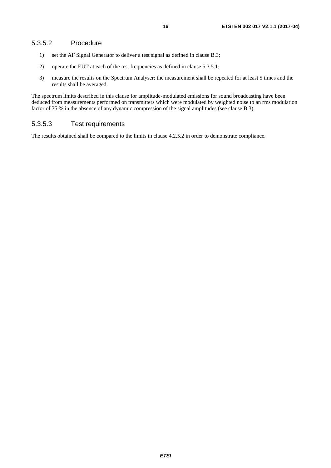- <span id="page-15-0"></span>1) set the AF Signal Generator to deliver a test signal as defined in clause B.3;
- 2) operate the EUT at each of the test frequencies as defined in clause 5.3.5.1;
- 3) measure the results on the Spectrum Analyser: the measurement shall be repeated for at least 5 times and the results shall be averaged.

The spectrum limits described in this clause for amplitude-modulated emissions for sound broadcasting have been deduced from measurements performed on transmitters which were modulated by weighted noise to an rms modulation factor of 35 % in the absence of any dynamic compression of the signal amplitudes (see clause B.3).

### 5.3.5.3 Test requirements

The results obtained shall be compared to the limits in clause 4.2.5.2 in order to demonstrate compliance.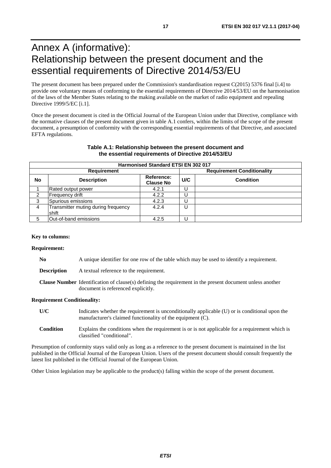# <span id="page-16-0"></span>Annex A (informative): Relationship between the present document and the essential requirements of Directive 2014/53/EU

The present document has been prepared under the Commission's standardisation request C(2015) 5376 final [\[i.4\]](#page-5-0) to provide one voluntary means of conforming to the essential requirements of Directive 2014/53/EU on the harmonisation of the laws of the Member States relating to the making available on the market of radio equipment and repealing Directive 1999/5/EC [\[i.1](#page-5-0)].

Once the present document is cited in the Official Journal of the European Union under that Directive, compliance with the normative clauses of the present document given in table A.1 confers, within the limits of the scope of the present document, a presumption of conformity with the corresponding essential requirements of that Directive, and associated EFTA regulations.

#### **Table A.1: Relationship between the present document and the essential requirements of Directive 2014/53/EU**

|    | <b>Harmonised Standard ETSI EN 302 017</b>   |                                |                                   |                  |  |  |
|----|----------------------------------------------|--------------------------------|-----------------------------------|------------------|--|--|
|    | <b>Requirement</b>                           |                                | <b>Requirement Conditionality</b> |                  |  |  |
| No | <b>Description</b>                           | Reference:<br><b>Clause No</b> | U/C                               | <b>Condition</b> |  |  |
|    | Rated output power                           | 4.2.1                          |                                   |                  |  |  |
|    | Frequency drift                              | 4.2.2                          |                                   |                  |  |  |
| 3  | Spurious emissions                           | 4.2.3                          |                                   |                  |  |  |
| 4  | Transmitter muting during frequency<br>shift | 4.2.4                          |                                   |                  |  |  |
| 5  | Out-of-band emissions                        | 4.2.5                          |                                   |                  |  |  |

#### **Key to columns:**

#### **Requirement:**

| N <sub>0</sub>     | A unique identifier for one row of the table which may be used to identify a requirement.                                                              |
|--------------------|--------------------------------------------------------------------------------------------------------------------------------------------------------|
| <b>Description</b> | A textual reference to the requirement.                                                                                                                |
|                    | <b>Clause Number</b> Identification of clause(s) defining the requirement in the present document unless another<br>document is referenced explicitly. |

#### **Requirement Conditionality:**

- **U/C** Indicates whether the requirement is unconditionally applicable (U) or is conditional upon the manufacturer's claimed functionality of the equipment (C).
- **Condition** Explains the conditions when the requirement is or is not applicable for a requirement which is classified "conditional".

Presumption of conformity stays valid only as long as a reference to the present document is maintained in the list published in the Official Journal of the European Union. Users of the present document should consult frequently the latest list published in the Official Journal of the European Union.

Other Union legislation may be applicable to the product(s) falling within the scope of the present document.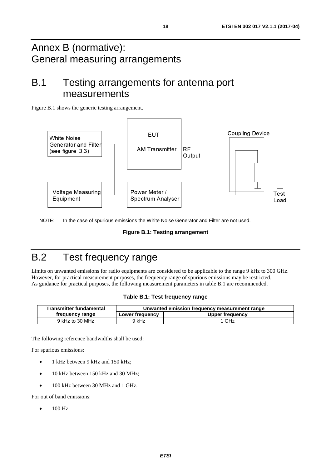# <span id="page-17-0"></span>Annex B (normative): General measuring arrangements

# B.1 Testing arrangements for antenna port measurements

Figure B.1 shows the generic testing arrangement.



NOTE: In the case of spurious emissions the White Noise Generator and Filter are not used.

|  |  | <b>Figure B.1: Testing arrangement</b> |
|--|--|----------------------------------------|
|--|--|----------------------------------------|

# B.2 Test frequency range

Limits on unwanted emissions for radio equipments are considered to be applicable to the range 9 kHz to 300 GHz. However, for practical measurement purposes, the frequency range of spurious emissions may be restricted. As guidance for practical purposes, the following measurement parameters in table B.1 are recommended.

|  |  |  | Table B.1: Test frequency range |  |
|--|--|--|---------------------------------|--|
|--|--|--|---------------------------------|--|

| Transmitter fundamental | Unwanted emission frequency measurement range |                 |  |
|-------------------------|-----------------------------------------------|-----------------|--|
| frequency range         | Lower frequency                               | Upper frequency |  |
| 9 kHz to 30 MHz         | 9 kHz                                         | 1 GHz           |  |

The following reference bandwidths shall be used:

For spurious emissions:

- 1 kHz between 9 kHz and 150 kHz;
- 10 kHz between 150 kHz and 30 MHz;
- 100 kHz between 30 MHz and 1 GHz.

For out of band emissions:

• 100 Hz.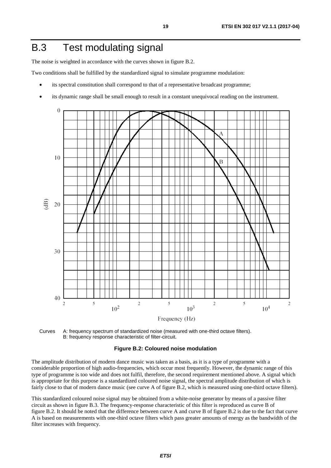# <span id="page-18-0"></span>B.3 Test modulating signal

The noise is weighted in accordance with the curves shown in figure B.2.

Two conditions shall be fulfilled by the standardized signal to simulate programme modulation:

- its spectral constitution shall correspond to that of a representative broadcast programme;
- its dynamic range shall be small enough to result in a constant unequivocal reading on the instrument.



Curves A: frequency spectrum of standardized noise (measured with one-third octave filters). B: frequency response characteristic of filter-circuit.

#### **Figure B.2: Coloured noise modulation**

The amplitude distribution of modern dance music was taken as a basis, as it is a type of programme with a considerable proportion of high audio-frequencies, which occur most frequently. However, the dynamic range of this type of programme is too wide and does not fulfil, therefore, the second requirement mentioned above. A signal which is appropriate for this purpose is a standardized coloured noise signal, the spectral amplitude distribution of which is fairly close to that of modern dance music (see curve A of figure B.2, which is measured using one-third octave filters).

This standardized coloured noise signal may be obtained from a white-noise generator by means of a passive filter circuit as shown in figure B.3. The frequency-response characteristic of this filter is reproduced as curve B of figure B.2. It should be noted that the difference between curve A and curve B of figure B.2 is due to the fact that curve A is based on measurements with one-third octave filters which pass greater amounts of energy as the bandwidth of the filter increases with frequency.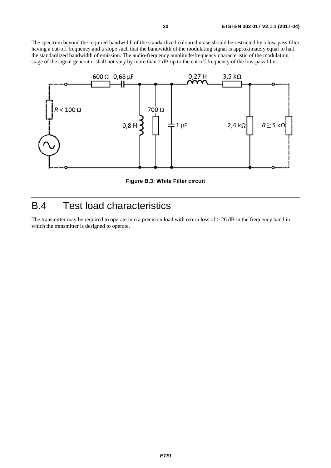<span id="page-19-0"></span>The spectrum beyond the required bandwidth of the standardized coloured noise should be restricted by a low-pass filter having a cut-off frequency and a slope such that the bandwidth of the modulating signal is approximately equal to half the standardized bandwidth of emission. The audio-frequency amplitude/frequency characteristic of the modulating stage of the signal generator shall not vary by more than 2 dB up to the cut-off frequency of the low-pass filter.



**Figure B.3: White Filter circuit** 

# B.4 Test load characteristics

The transmitter may be required to operate into a precision load with return loss of > 26 dB in the frequency band in which the transmitter is designed to operate.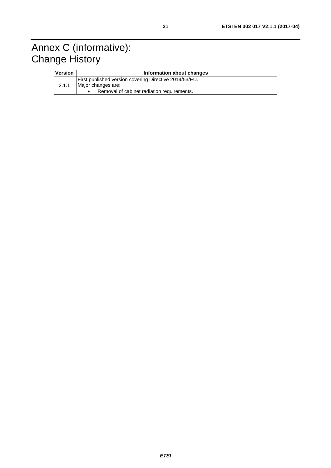# <span id="page-20-0"></span>Annex C (informative): Change History

| <b>Version</b> | Information about changes                                                                                                  |  |  |  |  |
|----------------|----------------------------------------------------------------------------------------------------------------------------|--|--|--|--|
| 2.1.1          | First published version covering Directive 2014/53/EU.<br>Major changes are:<br>Removal of cabinet radiation requirements. |  |  |  |  |